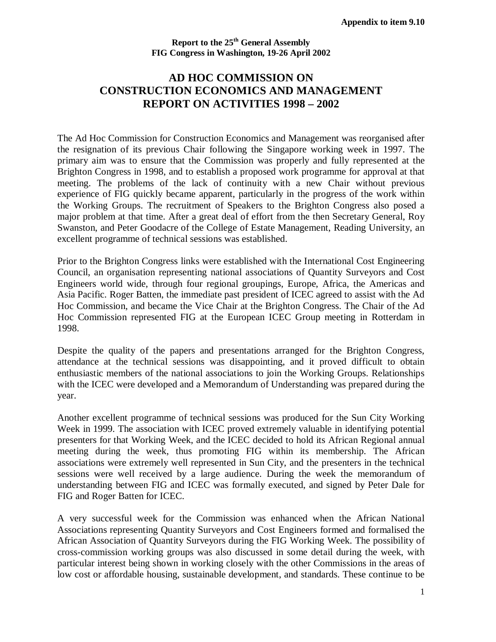## **Report to the 25th General Assembly FIG Congress in Washington, 19-26 April 2002**

## **AD HOC COMMISSION ON CONSTRUCTION ECONOMICS AND MANAGEMENT REPORT ON ACTIVITIES 1998 – 2002**

The Ad Hoc Commission for Construction Economics and Management was reorganised after the resignation of its previous Chair following the Singapore working week in 1997. The primary aim was to ensure that the Commission was properly and fully represented at the Brighton Congress in 1998, and to establish a proposed work programme for approval at that meeting. The problems of the lack of continuity with a new Chair without previous experience of FIG quickly became apparent, particularly in the progress of the work within the Working Groups. The recruitment of Speakers to the Brighton Congress also posed a major problem at that time. After a great deal of effort from the then Secretary General, Roy Swanston, and Peter Goodacre of the College of Estate Management, Reading University, an excellent programme of technical sessions was established.

Prior to the Brighton Congress links were established with the International Cost Engineering Council, an organisation representing national associations of Quantity Surveyors and Cost Engineers world wide, through four regional groupings, Europe, Africa, the Americas and Asia Pacific. Roger Batten, the immediate past president of ICEC agreed to assist with the Ad Hoc Commission, and became the Vice Chair at the Brighton Congress. The Chair of the Ad Hoc Commission represented FIG at the European ICEC Group meeting in Rotterdam in 1998.

Despite the quality of the papers and presentations arranged for the Brighton Congress, attendance at the technical sessions was disappointing, and it proved difficult to obtain enthusiastic members of the national associations to join the Working Groups. Relationships with the ICEC were developed and a Memorandum of Understanding was prepared during the year.

Another excellent programme of technical sessions was produced for the Sun City Working Week in 1999. The association with ICEC proved extremely valuable in identifying potential presenters for that Working Week, and the ICEC decided to hold its African Regional annual meeting during the week, thus promoting FIG within its membership. The African associations were extremely well represented in Sun City, and the presenters in the technical sessions were well received by a large audience. During the week the memorandum of understanding between FIG and ICEC was formally executed, and signed by Peter Dale for FIG and Roger Batten for ICEC.

A very successful week for the Commission was enhanced when the African National Associations representing Quantity Surveyors and Cost Engineers formed and formalised the African Association of Quantity Surveyors during the FIG Working Week. The possibility of cross-commission working groups was also discussed in some detail during the week, with particular interest being shown in working closely with the other Commissions in the areas of low cost or affordable housing, sustainable development, and standards. These continue to be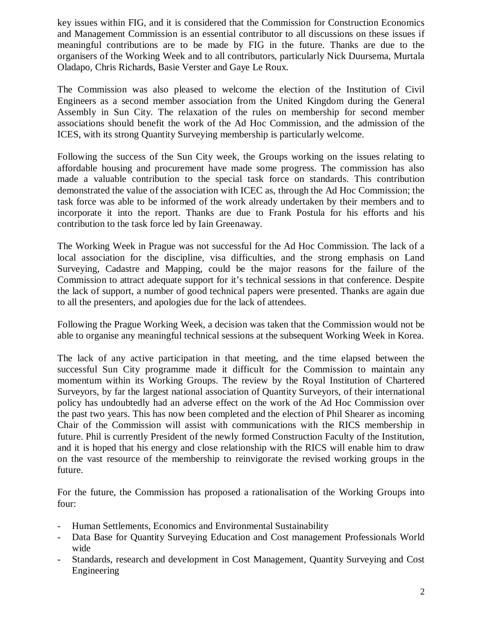key issues within FIG, and it is considered that the Commission for Construction Economics and Management Commission is an essential contributor to all discussions on these issues if meaningful contributions are to be made by FIG in the future. Thanks are due to the organisers of the Working Week and to all contributors, particularly Nick Duursema, Murtala Oladapo, Chris Richards, Basie Verster and Gaye Le Roux.

The Commission was also pleased to welcome the election of the Institution of Civil Engineers as a second member association from the United Kingdom during the General Assembly in Sun City. The relaxation of the rules on membership for second member associations should benefit the work of the Ad Hoc Commission, and the admission of the ICES, with its strong Quantity Surveying membership is particularly welcome.

Following the success of the Sun City week, the Groups working on the issues relating to affordable housing and procurement have made some progress. The commission has also made a valuable contribution to the special task force on standards. This contribution demonstrated the value of the association with ICEC as, through the Ad Hoc Commission; the task force was able to be informed of the work already undertaken by their members and to incorporate it into the report. Thanks are due to Frank Postula for his efforts and his contribution to the task force led by Iain Greenaway.

The Working Week in Prague was not successful for the Ad Hoc Commission. The lack of a local association for the discipline, visa difficulties, and the strong emphasis on Land Surveying, Cadastre and Mapping, could be the major reasons for the failure of the Commission to attract adequate support for it's technical sessions in that conference. Despite the lack of support, a number of good technical papers were presented. Thanks are again due to all the presenters, and apologies due for the lack of attendees.

Following the Prague Working Week, a decision was taken that the Commission would not be able to organise any meaningful technical sessions at the subsequent Working Week in Korea.

The lack of any active participation in that meeting, and the time elapsed between the successful Sun City programme made it difficult for the Commission to maintain any momentum within its Working Groups. The review by the Royal Institution of Chartered Surveyors, by far the largest national association of Quantity Surveyors, of their international policy has undoubtedly had an adverse effect on the work of the Ad Hoc Commission over the past two years. This has now been completed and the election of Phil Shearer as incoming Chair of the Commission will assist with communications with the RICS membership in future. Phil is currently President of the newly formed Construction Faculty of the Institution, and it is hoped that his energy and close relationship with the RICS will enable him to draw on the vast resource of the membership to reinvigorate the revised working groups in the future.

For the future, the Commission has proposed a rationalisation of the Working Groups into four:

- Human Settlements, Economics and Environmental Sustainability
- Data Base for Quantity Surveying Education and Cost management Professionals World wide
- Standards, research and development in Cost Management, Quantity Surveying and Cost Engineering